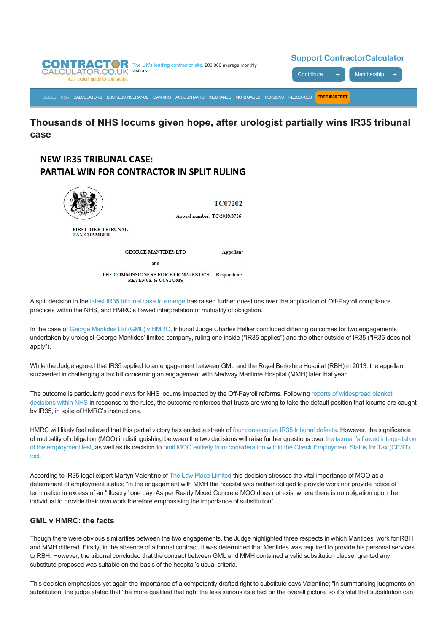

## **Thousands of NHS locums given hope, after urologist partially wins IR35 tribunal case**

## **NEW IR35 TRIBUNAL CASE:** PARTIAL WIN FOR CONTRACTOR IN SPLIT RULING



A split decision in the [latest IR35 tribunal case to emerge](http://financeandtax.decisions.tribunals.gov.uk/judgmentfiles/j11165/TC07202.pdf) has raised further questions over the application of Off-Payroll compliance practices within the NHS, and HMRC's flawed interpretation of mutuality of obligation.

In the case of [George Mantides Ltd \(GML\) v HMRC,](http://financeandtax.decisions.tribunals.gov.uk/judgmentfiles/j11165/TC07202.pdf) tribunal Judge Charles Hellier concluded differing outcomes for two engagements undertaken by urologist George Mantides' limited company, ruling one inside ("IR35 applies") and the other outside of IR35 ("IR35 does not apply").

While the Judge agreed that IR35 applied to an engagement between GML and the Royal Berkshire Hospital (RBH) in 2013, the appellant succeeded in challenging a tax bill concerning an engagement with Medway Maritime Hospital (MMH) later that year.

The outcome is particularly good news for NHS locums impacted by the Off-Payroll reforms. Following reports of widespread blanket decisions within NHS in response to the rules, the outcome reinforces that trusts are wrong to take the default position that locums are caught by IR35, in spite of HMRC's instructions.

HMRC will likely feel relieved that this partial victory has ended a streak of [four consecutive IR35 tribunal defeats](https://www.contractorcalculator.co.uk/ir35_court_cases_judgments.aspx). However, the significance [of mutuality of obligation \(MOO\) in distinguishing between the two decisions will raise further questions over the taxman's flawed interpretation](https://www.contractorcalculator.co.uk/hmrc_mutuality_obligation_incorrectly_defines_moo_542710_news.aspx) [of the employment test, as well as its decision to omit MOO entirely from consideration within the Check Employment Status for Tax \(CEST\)](https://www.contractorcalculator.co.uk/hmrcs_ir35_cest_tool_never_accurate_barrister_541910_news.aspx) tool.

According to IR35 legal expert Martyn Valentine of [The Law Place Limited](http://www.thelawplace.co.uk) this decision stresses the vital importance of MOO as a determinant of employment status; "in the engagement with MMH the hospital was neither obliged to provide work nor provide notice of termination in excess of an "illusory" one day. As per Ready Mixed Concrete MOO does not exist where there is no obligation upon the individual to provide their own work therefore emphasising the importance of substitution".

## **GML v HMRC: the facts**

Though there were obvious similarities between the two engagements, the Judge highlighted three respects in which Mantides' work for RBH and MMH differed. Firstly, in the absence of a formal contract, it was determined that Mentides was required to provide his personal services to RBH. However, the tribunal concluded that the contract between GML and MMH contained a valid substitution clause, granted any substitute proposed was suitable on the basis of the hospital's usual criteria.

This decision emphasises yet again the importance of a competently drafted right to substitute says Valentine; "in summarising judgments on substitution, the judge stated that 'the more qualified that right the less serious its effect on the overall picture' so it's vital that substitution can